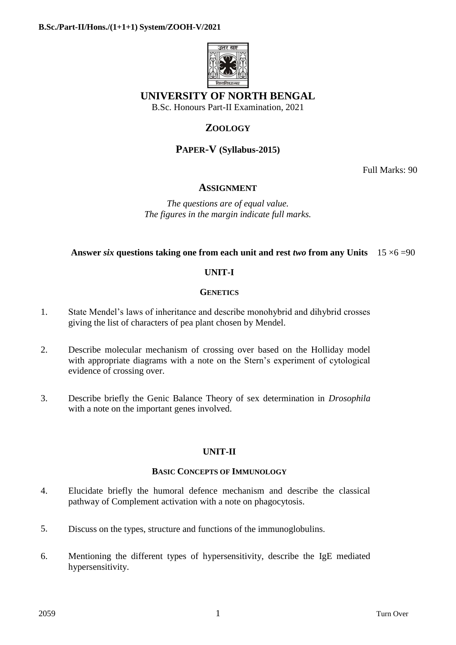

## **UNIVERSITY OF NORTH BENGAL**

B.Sc. Honours Part-II Examination, 2021

# **ZOOLOGY**

## **PAPER-V (Syllabus-2015)**

Full Marks: 90

### **ASSIGNMENT**

*The questions are of equal value. The figures in the margin indicate full marks.*

### **Answer** *six* **questions taking one from each unit and rest** *two* **from any Units** 15 ×6 =90

### **UNIT-I**

### **GENETICS**

- 1. State Mendel's laws of inheritance and describe monohybrid and dihybrid crosses giving the list of characters of pea plant chosen by Mendel.
- 2. Describe molecular mechanism of crossing over based on the Holliday model with appropriate diagrams with a note on the Stern's experiment of cytological evidence of crossing over.
- 3. Describe briefly the Genic Balance Theory of sex determination in *Drosophila* with a note on the important genes involved.

### **UNIT-II**

### **BASIC CONCEPTS OF IMMUNOLOGY**

- 4. Elucidate briefly the humoral defence mechanism and describe the classical pathway of Complement activation with a note on phagocytosis.
- 5. Discuss on the types, structure and functions of the immunoglobulins.
- 6. Mentioning the different types of hypersensitivity, describe the IgE mediated hypersensitivity.